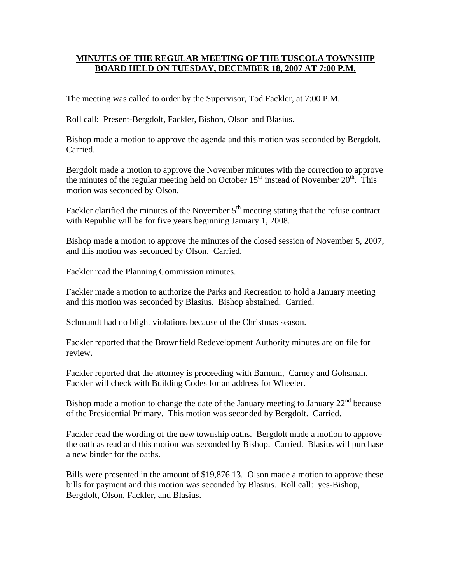## **MINUTES OF THE REGULAR MEETING OF THE TUSCOLA TOWNSHIP BOARD HELD ON TUESDAY, DECEMBER 18, 2007 AT 7:00 P.M.**

The meeting was called to order by the Supervisor, Tod Fackler, at 7:00 P.M.

Roll call: Present-Bergdolt, Fackler, Bishop, Olson and Blasius.

Bishop made a motion to approve the agenda and this motion was seconded by Bergdolt. Carried.

Bergdolt made a motion to approve the November minutes with the correction to approve the minutes of the regular meeting held on October  $15<sup>th</sup>$  instead of November  $20<sup>th</sup>$ . This motion was seconded by Olson.

Fackler clarified the minutes of the November  $5<sup>th</sup>$  meeting stating that the refuse contract with Republic will be for five years beginning January 1, 2008.

Bishop made a motion to approve the minutes of the closed session of November 5, 2007, and this motion was seconded by Olson. Carried.

Fackler read the Planning Commission minutes.

Fackler made a motion to authorize the Parks and Recreation to hold a January meeting and this motion was seconded by Blasius. Bishop abstained. Carried.

Schmandt had no blight violations because of the Christmas season.

Fackler reported that the Brownfield Redevelopment Authority minutes are on file for review.

Fackler reported that the attorney is proceeding with Barnum, Carney and Gohsman. Fackler will check with Building Codes for an address for Wheeler.

Bishop made a motion to change the date of the January meeting to January  $22<sup>nd</sup>$  because of the Presidential Primary. This motion was seconded by Bergdolt. Carried.

Fackler read the wording of the new township oaths. Bergdolt made a motion to approve the oath as read and this motion was seconded by Bishop. Carried. Blasius will purchase a new binder for the oaths.

Bills were presented in the amount of \$19,876.13. Olson made a motion to approve these bills for payment and this motion was seconded by Blasius. Roll call: yes-Bishop, Bergdolt, Olson, Fackler, and Blasius.